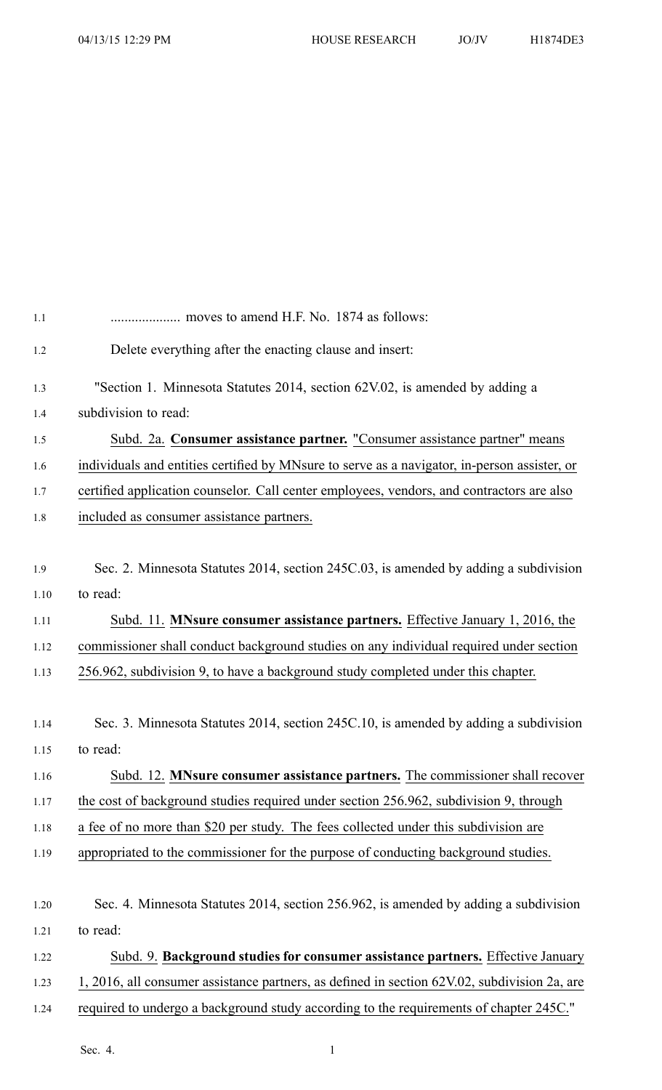| 1.1  |                                                                                              |
|------|----------------------------------------------------------------------------------------------|
| 1.2  | Delete everything after the enacting clause and insert:                                      |
| 1.3  | "Section 1. Minnesota Statutes 2014, section 62V.02, is amended by adding a                  |
| 1.4  | subdivision to read:                                                                         |
| 1.5  | Subd. 2a. Consumer assistance partner. "Consumer assistance partner" means                   |
| 1.6  | individuals and entities certified by MNsure to serve as a navigator, in-person assister, or |
| 1.7  | certified application counselor. Call center employees, vendors, and contractors are also    |
| 1.8  | included as consumer assistance partners.                                                    |
|      |                                                                                              |
| 1.9  | Sec. 2. Minnesota Statutes 2014, section 245C.03, is amended by adding a subdivision         |
| 1.10 | to read:                                                                                     |
| 1.11 | Subd. 11. MNsure consumer assistance partners. Effective January 1, 2016, the                |
| 1.12 | commissioner shall conduct background studies on any individual required under section       |
| 1.13 | 256.962, subdivision 9, to have a background study completed under this chapter.             |
|      |                                                                                              |
| 1.14 | Sec. 3. Minnesota Statutes 2014, section 245C.10, is amended by adding a subdivision         |
| 1.15 | to read:                                                                                     |
| 1.16 | Subd. 12. MNsure consumer assistance partners. The commissioner shall recover                |
| 1.17 | the cost of background studies required under section 256.962, subdivision 9, through        |
| 1.18 | a fee of no more than \$20 per study. The fees collected under this subdivision are          |
| 1.19 | appropriated to the commissioner for the purpose of conducting background studies.           |
|      |                                                                                              |
| 1.20 | Sec. 4. Minnesota Statutes 2014, section 256.962, is amended by adding a subdivision         |
| 1.21 | to read:                                                                                     |
| 1.22 | Subd. 9. Background studies for consumer assistance partners. Effective January              |
| 1.23 | 1, 2016, all consumer assistance partners, as defined in section 62V.02, subdivision 2a, are |
| 1.24 | required to undergo a background study according to the requirements of chapter 245C."       |